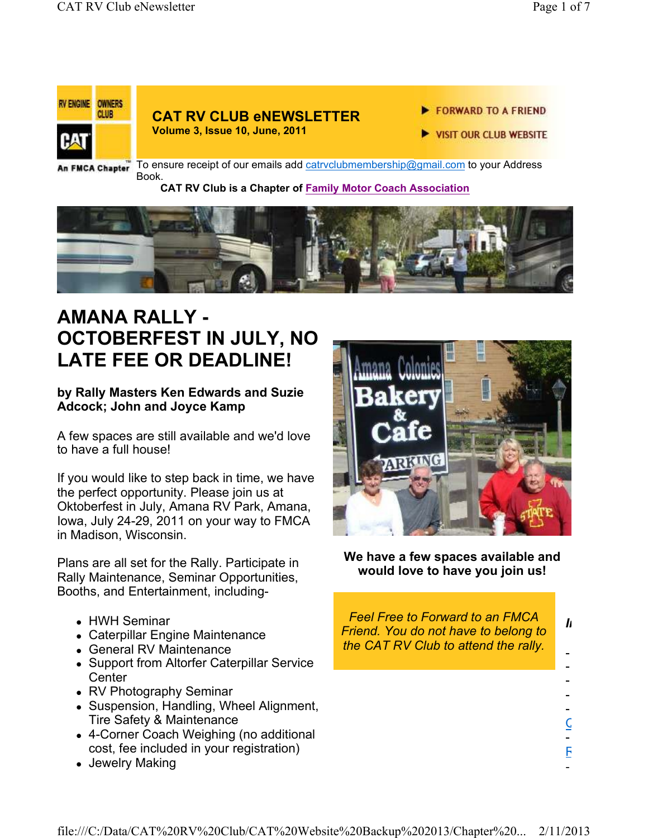

To ensure receipt of our emails add catrvclubmembership@gmail.com to your Address Book.

#### **CAT RV Club is a Chapter of Family Motor Coach Association**



# **AMANA RALLY - OCTOBERFEST IN JULY, NO LATE FEE OR DEADLINE!**

### **by Rally Masters Ken Edwards and Suzie Adcock; John and Joyce Kamp**

A few spaces are still available and we'd love to have a full house!

If you would like to step back in time, we have the perfect opportunity. Please join us at Oktoberfest in July, Amana RV Park, Amana, Iowa, July 24-29, 2011 on your way to FMCA in Madison, Wisconsin.

Plans are all set for the Rally. Participate in Rally Maintenance, Seminar Opportunities, Booths, and Entertainment, including-

- HWH Seminar
- Caterpillar Engine Maintenance
- General RV Maintenance
- Support from Altorfer Caterpillar Service **Center**
- RV Photography Seminar
- Suspension, Handling, Wheel Alignment, Tire Safety & Maintenance
- 4-Corner Coach Weighing (no additional cost, fee included in your registration)
- Jewelry Making



**We have a few spaces available and would love to have you join us!**

*Feel Free to Forward to an FMCA Friend. You do not have to belong to the CAT RV Club to attend the rally.*

- - - - -

*In This issue*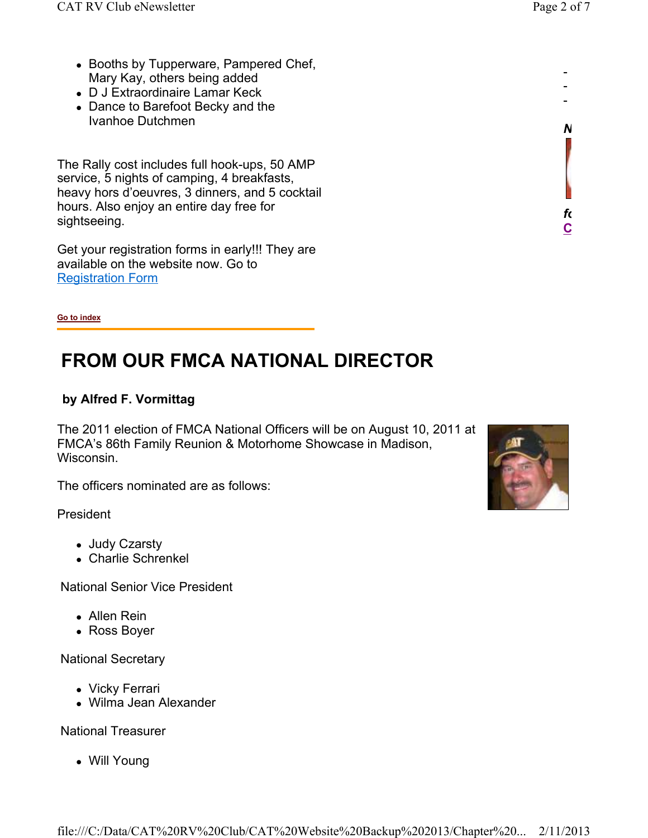- Booths by Tupperware, Pampered Chef, Mary Kay, others being added
- D J Extraordinaire Lamar Keck
- Dance to Barefoot Becky and the Ivanhoe Dutchmen

The Rally cost includes full hook-ups, 50 AMP service, 5 nights of camping, 4 breakfasts, heavy hors d'oeuvres, 3 dinners, and 5 cocktail hours. Also enjoy an entire day free for sightseeing.

Get your registration forms in early!!! They are available on the website now. Go to Registration Form

**Go to index**

# **FROM OUR FMCA NATIONAL DIRECTOR**

### **by Alfred F. Vormittag**

The 2011 election of FMCA National Officers will be on August 10, 2011 at FMCA's 86th Family Reunion & Motorhome Showcase in Madison, Wisconsin.

The officers nominated are as follows:

President

- Judy Czarsty
- Charlie Schrenkel

National Senior Vice President

- Allen Rein
- Ross Boyer

National Secretary

- Vicky Ferrari
- Wilma Jean Alexander

National Treasurer

Will Young



- - -

*Need Club Logo Merchandise?* 

**CAT RV Club Shopping Cart**

*following link:*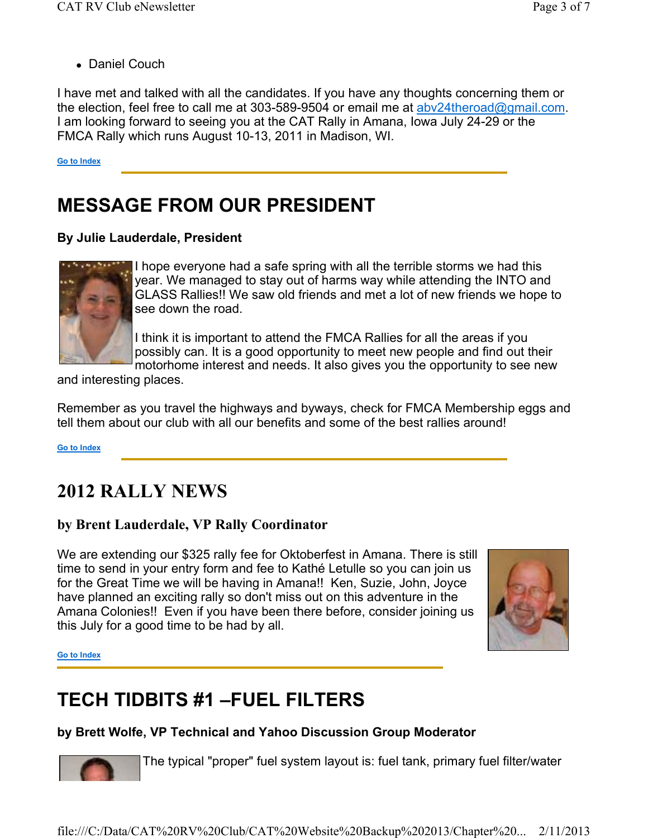• Daniel Couch

I have met and talked with all the candidates. If you have any thoughts concerning them or the election, feel free to call me at 303-589-9504 or email me at abv24theroad@gmail.com. I am looking forward to seeing you at the CAT Rally in Amana, Iowa July 24-29 or the FMCA Rally which runs August 10-13, 2011 in Madison, WI.

#### **Go to Index**

# **MESSAGE FROM OUR PRESIDENT**

## **By Julie Lauderdale, President**



I hope everyone had a safe spring with all the terrible storms we had this year. We managed to stay out of harms way while attending the INTO and GLASS Rallies!! We saw old friends and met a lot of new friends we hope to see down the road.

I think it is important to attend the FMCA Rallies for all the areas if you possibly can. It is a good opportunity to meet new people and find out their motorhome interest and needs. It also gives you the opportunity to see new

and interesting places.

Remember as you travel the highways and byways, check for FMCA Membership eggs and tell them about our club with all our benefits and some of the best rallies around!

**Go to Index**

## **2012 RALLY NEWS**

## **by Brent Lauderdale, VP Rally Coordinator**

We are extending our \$325 rally fee for Oktoberfest in Amana. There is still time to send in your entry form and fee to Kathé Letulle so you can join us for the Great Time we will be having in Amana!! Ken, Suzie, John, Joyce have planned an exciting rally so don't miss out on this adventure in the Amana Colonies!! Even if you have been there before, consider joining us this July for a good time to be had by all.



**Go to Index**

# **TECH TIDBITS #1 –FUEL FILTERS**

## **by Brett Wolfe, VP Technical and Yahoo Discussion Group Moderator**

The typical "proper" fuel system layout is: fuel tank, primary fuel filter/water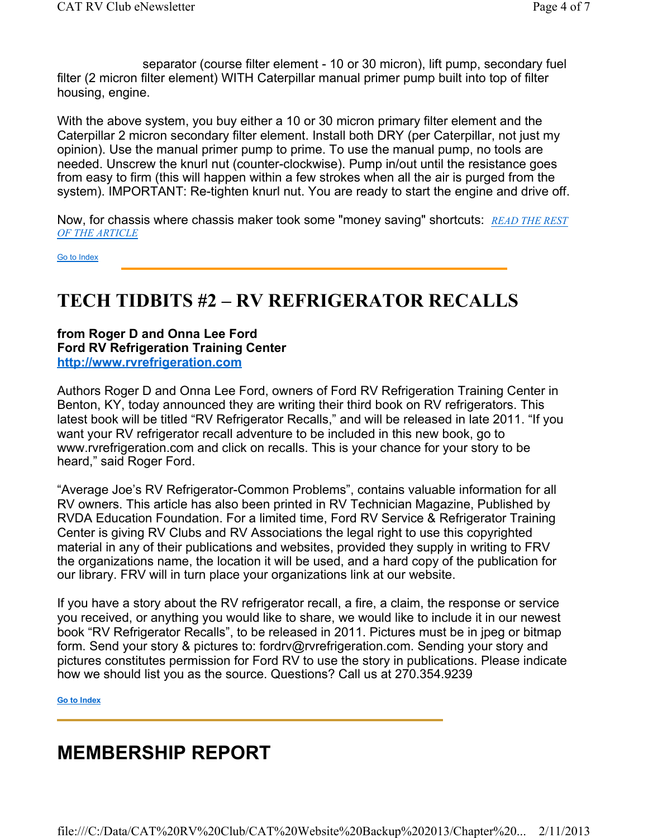separator (course filter element - 10 or 30 micron), lift pump, secondary fuel filter (2 micron filter element) WITH Caterpillar manual primer pump built into top of filter housing, engine.

With the above system, you buy either a 10 or 30 micron primary filter element and the Caterpillar 2 micron secondary filter element. Install both DRY (per Caterpillar, not just my opinion). Use the manual primer pump to prime. To use the manual pump, no tools are needed. Unscrew the knurl nut (counter-clockwise). Pump in/out until the resistance goes from easy to firm (this will happen within a few strokes when all the air is purged from the system). IMPORTANT: Re-tighten knurl nut. You are ready to start the engine and drive off.

Now, for chassis where chassis maker took some "money saving" shortcuts: *READ THE REST OF THE ARTICLE*

Go to Index

## **TECH TIDBITS #2 – RV REFRIGERATOR RECALLS**

#### **from Roger D and Onna Lee Ford Ford RV Refrigeration Training Center http://www.rvrefrigeration.com**

Authors Roger D and Onna Lee Ford, owners of Ford RV Refrigeration Training Center in Benton, KY, today announced they are writing their third book on RV refrigerators. This latest book will be titled "RV Refrigerator Recalls," and will be released in late 2011. "If you want your RV refrigerator recall adventure to be included in this new book, go to www.rvrefrigeration.com and click on recalls. This is your chance for your story to be heard," said Roger Ford.

"Average Joe's RV Refrigerator-Common Problems", contains valuable information for all RV owners. This article has also been printed in RV Technician Magazine, Published by RVDA Education Foundation. For a limited time, Ford RV Service & Refrigerator Training Center is giving RV Clubs and RV Associations the legal right to use this copyrighted material in any of their publications and websites, provided they supply in writing to FRV the organizations name, the location it will be used, and a hard copy of the publication for our library. FRV will in turn place your organizations link at our website.

If you have a story about the RV refrigerator recall, a fire, a claim, the response or service you received, or anything you would like to share, we would like to include it in our newest book "RV Refrigerator Recalls", to be released in 2011. Pictures must be in jpeg or bitmap form. Send your story & pictures to: fordrv@rvrefrigeration.com. Sending your story and pictures constitutes permission for Ford RV to use the story in publications. Please indicate how we should list you as the source. Questions? Call us at 270.354.9239

**Go to Index**

## **MEMBERSHIP REPORT**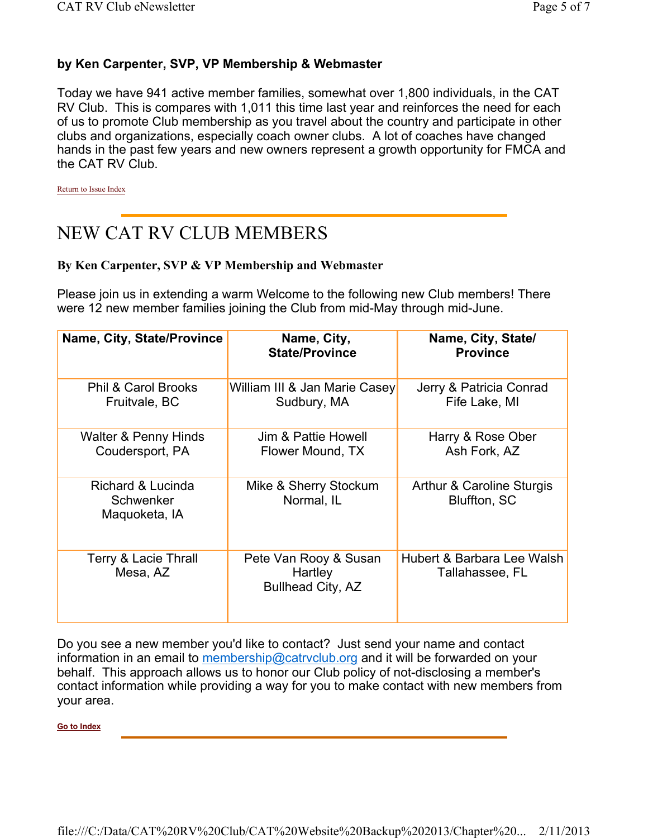#### **by Ken Carpenter, SVP, VP Membership & Webmaster**

Today we have 941 active member families, somewhat over 1,800 individuals, in the CAT RV Club. This is compares with 1,011 this time last year and reinforces the need for each of us to promote Club membership as you travel about the country and participate in other clubs and organizations, especially coach owner clubs. A lot of coaches have changed hands in the past few years and new owners represent a growth opportunity for FMCA and the CAT RV Club.

Return to Issue Index

## NEW CAT RV CLUB MEMBERS

#### **By Ken Carpenter, SVP & VP Membership and Webmaster**

Please join us in extending a warm Welcome to the following new Club members! There were 12 new member families joining the Club from mid-May through mid-June.

| Name, City, State/Province                      | Name, City,<br><b>State/Province</b>                         | Name, City, State/<br><b>Province</b>                |
|-------------------------------------------------|--------------------------------------------------------------|------------------------------------------------------|
| <b>Phil &amp; Carol Brooks</b><br>Fruitvale, BC | William III & Jan Marie Casey<br>Sudbury, MA                 | Jerry & Patricia Conrad<br>Fife Lake, MI             |
| Walter & Penny Hinds<br>Coudersport, PA         | Jim & Pattie Howell<br>Flower Mound, TX                      | Harry & Rose Ober<br>Ash Fork, AZ                    |
| Richard & Lucinda<br>Schwenker<br>Maquoketa, IA | Mike & Sherry Stockum<br>Normal, IL                          | <b>Arthur &amp; Caroline Sturgis</b><br>Bluffton, SC |
| Terry & Lacie Thrall<br>Mesa, AZ                | Pete Van Rooy & Susan<br>Hartley<br><b>Bullhead City, AZ</b> | Hubert & Barbara Lee Walsh<br>Tallahassee, FL        |

Do you see a new member you'd like to contact? Just send your name and contact information in an email to membership@catrvclub.org and it will be forwarded on your behalf. This approach allows us to honor our Club policy of not-disclosing a member's contact information while providing a way for you to make contact with new members from your area.

**Go to Index**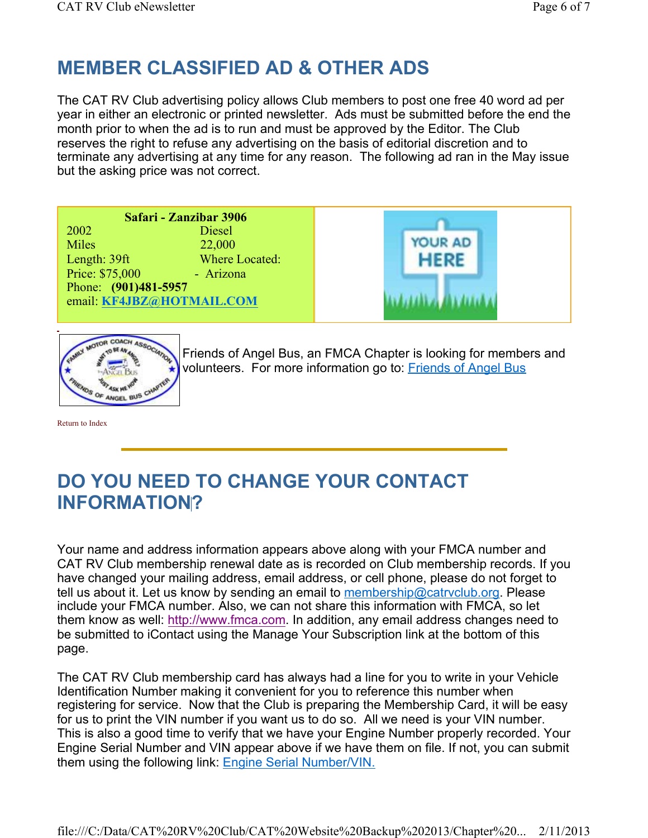# **MEMBER CLASSIFIED AD & OTHER ADS**

The CAT RV Club advertising policy allows Club members to post one free 40 word ad per year in either an electronic or printed newsletter. Ads must be submitted before the end the month prior to when the ad is to run and must be approved by the Editor. The Club reserves the right to refuse any advertising on the basis of editorial discretion and to terminate any advertising at any time for any reason. The following ad ran in the May issue but the asking price was not correct.

**Safari - Zanzibar 3906** 2002 Diesel Miles 22,000 Length: 39ft Where Located: Price: \$75,000 - Arizona Phone: **(901)481-5957** email: **KF4JBZ@HOTMAIL.COM**





Friends of Angel Bus, an FMCA Chapter is looking for members and volunteers. For more information go to: Friends of Angel Bus

Return to Index

# **DO YOU NEED TO CHANGE YOUR CONTACT INFORMATION?**

Your name and address information appears above along with your FMCA number and CAT RV Club membership renewal date as is recorded on Club membership records. If you have changed your mailing address, email address, or cell phone, please do not forget to tell us about it. Let us know by sending an email to membership@catrvclub.org. Please include your FMCA number. Also, we can not share this information with FMCA, so let them know as well: http://www.fmca.com. In addition, any email address changes need to be submitted to iContact using the Manage Your Subscription link at the bottom of this page.

The CAT RV Club membership card has always had a line for you to write in your Vehicle Identification Number making it convenient for you to reference this number when registering for service. Now that the Club is preparing the Membership Card, it will be easy for us to print the VIN number if you want us to do so. All we need is your VIN number. This is also a good time to verify that we have your Engine Number properly recorded. Your Engine Serial Number and VIN appear above if we have them on file. If not, you can submit them using the following link: **Engine Serial Number/VIN.**